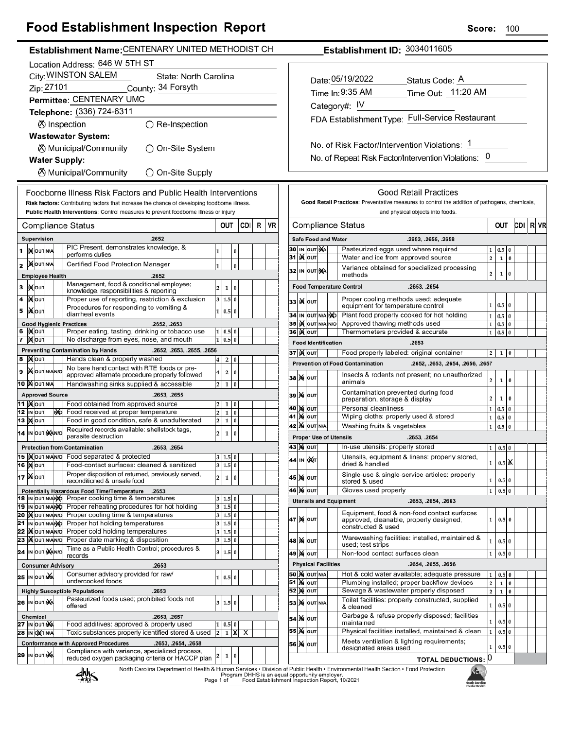# **Food Establishment Inspection Report**

| Food Establishment inspection Report                                                                                                                                                    | <b>Score:</b><br>100                                                                                                   |
|-----------------------------------------------------------------------------------------------------------------------------------------------------------------------------------------|------------------------------------------------------------------------------------------------------------------------|
| Establishment Name: CENTENARY UNITED METHODIST CH                                                                                                                                       | Establishment ID: 3034011605                                                                                           |
| Location Address: 646 W 5TH ST                                                                                                                                                          |                                                                                                                        |
| City: WINSTON SALEM<br>State: North Carolina                                                                                                                                            |                                                                                                                        |
| Zip: 27101<br>County: 34 Forsyth                                                                                                                                                        | Date: 05/19/2022<br>Status Code: A                                                                                     |
| Permittee: CENTENARY UMC                                                                                                                                                                | Time Out: 11:20 AM<br>Time In: 9:35 AM                                                                                 |
|                                                                                                                                                                                         | Category#: IV                                                                                                          |
| Telephone: (336) 724-6311                                                                                                                                                               | FDA Establishment Type: Full-Service Restaurant                                                                        |
| ⊗ Inspection<br>$\bigcirc$ Re-Inspection                                                                                                                                                |                                                                                                                        |
| <b>Wastewater System:</b>                                                                                                                                                               |                                                                                                                        |
| <b><math>\oslash</math> Municipal/Community</b><br>◯ On-Site System                                                                                                                     | No. of Risk Factor/Intervention Violations: 1                                                                          |
| <b>Water Supply:</b>                                                                                                                                                                    | No. of Repeat Risk Factor/Intervention Violations: 0                                                                   |
| <b><math>\oslash</math> Municipal/Community</b><br>◯ On-Site Supply                                                                                                                     |                                                                                                                        |
|                                                                                                                                                                                         |                                                                                                                        |
| Foodborne Illness Risk Factors and Public Health Interventions                                                                                                                          | <b>Good Retail Practices</b>                                                                                           |
| Risk factors: Contributing factors that increase the chance of developing foodborne illness.                                                                                            | Good Retail Practices: Preventative measures to control the addition of pathogens, chemicals,                          |
| Public Health Interventions: Control measures to prevent foodborne illness or injury                                                                                                    | and physical objects into foods.                                                                                       |
| <b>CDI</b><br><b>VR</b><br>OUT<br>R<br><b>Compliance Status</b>                                                                                                                         | OUT CDI R VR<br><b>Compliance Status</b>                                                                               |
| <b>Supervision</b><br>.2652                                                                                                                                                             | <b>Safe Food and Water</b><br>.2653, .2655, .2658                                                                      |
| PIC Present, demonstrates knowledge, &<br><b>KOUTINA</b><br>1<br>$\mathbf{1}$<br>$\Omega$                                                                                               | Pasteurized eggs used where required<br>30 IN OUT MA<br>$0.5\,$ 0<br>1                                                 |
| performs duties<br>2   NOUT N/A<br>Certified Food Protection Manager                                                                                                                    | 31 <b>Kout</b><br>Water and ice from approved source<br>$\overline{2}$<br>$1\quad0$                                    |
| $\mathbf{1}$<br>0                                                                                                                                                                       | Variance obtained for specialized processing<br>32 IN OUT NA<br>$\overline{2}$<br>$\mathbf 1$<br>$\bf{0}$<br>methods   |
| <b>Employee Health</b><br>.2652<br>Management, food & conditional employee;                                                                                                             |                                                                                                                        |
| з  ро<br>$\overline{2}$<br>$\mathbf{1}$<br>l 0<br>knowledge, responsibilities & reporting                                                                                               | <b>Food Temperature Control</b><br>.2653, .2654                                                                        |
| Proper use of reporting, restriction & exclusion<br>4   Nout<br>3   1.5   0                                                                                                             | Proper cooling methods used; adequate<br><b>зз )(</b>  оит <br>$1 \ 0.5 \ 0$<br>equipment for temperature control      |
| Procedures for responding to vomiting &<br><b>XOUT</b><br>5<br>1 0.5 0<br>diarrheal events                                                                                              | Plant food properly cooked for hot holding<br>34 IN OUT N/A NO<br>$0.5\,$ 0<br>$\mathbf{1}$                            |
| <b>Good Hygienic Practices</b><br>.2652, .2653                                                                                                                                          | 35 IN OUT N/A N/O<br>Approved thawing methods used<br>$1 \mid 0.5 \mid 0$                                              |
| 6  Kout<br>Proper eating, tasting, drinking or tobacco use<br>1   0.5   0                                                                                                               | 36   OUT<br>Thermometers provided & accurate<br>$0.5\, \,0$<br>1                                                       |
| 7 Mout<br>No discharge from eyes, nose, and mouth<br>1   0.5   0                                                                                                                        | <b>Food Identification</b><br>.2653                                                                                    |
| <b>Preventing Contamination by Hands</b><br>.2652, .2653, .2655, .2656<br>Hands clean & properly washed<br>8 Mour<br>2 0 <br>4 <sup>1</sup>                                             | 37   K   OUT<br>Food properly labeled: original container<br>$\overline{2}$<br>$1\quad0$                               |
| No bare hand contact with RTE foods or pre-                                                                                                                                             | <b>Prevention of Food Contamination</b><br>.2652, .2653, .2654, .2656, .2657                                           |
| 9   OUT N/AN/O<br>$\overline{\mathbf{4}}$<br>2 0<br>approved alternate procedure properly followed                                                                                      | Insects & rodents not present; no unauthorized<br>38 X OUT<br>$\mathbf{2}$<br>$1\vert 0$                               |
| 10 MOUTNA<br>Handwashing sinks supplied & accessible<br>$2 \mid 1 \mid 0$                                                                                                               | animals<br>Contamination prevented during food                                                                         |
| <b>Approved Source</b><br>.2653, .2655                                                                                                                                                  | 39 X 0UT<br>$\mathbf{2}$<br>$1\quad0$<br>preparation, storage & display                                                |
| <b>11  </b> Молт<br>Food obtained from approved source<br>$\overline{2}$<br>1 0<br>12 IN OUT<br>Food received at proper temperature<br>N <sub>D</sub><br>$\overline{\mathbf{c}}$<br>1 0 | Personal cleanliness<br>40 M OUT<br>$0.5\vert 0$<br>$\mathbf 1$                                                        |
| Food in good condition, safe & unadulterated<br><b>13 MOUT</b><br>$\overline{2}$<br>1 0                                                                                                 | Wiping cloths: properly used & stored<br><b>41 M OUT</b><br>$\mathbf{1}$<br>$0.5\vert 0$                               |
| Required records available: shellstock tags,<br>14 IN OUT NANO<br>$\overline{2}$<br>$\mathbf 1$<br>l 0                                                                                  | <b>42 M OUT N/A</b><br>Washing fruits & vegetables<br>1<br>$0.5\,$ 0                                                   |
| parasite destruction                                                                                                                                                                    | <b>Proper Use of Utensils</b><br>.2653, .2654                                                                          |
| <b>Protection from Contamination</b><br>.2653, .2654<br>15   <b>KourlyAN/O</b> Food separated & protected                                                                               | 43   00т<br>In-use utensils: properly stored<br>$0.5\vert 0$<br>1                                                      |
| 3   1.5   0<br>Food-contact surfaces: cleaned & sanitized<br>16   OUT<br>3 1.5 0                                                                                                        | Utensils, equipment & linens: properly stored,<br>44 IN OXT<br>$0.5$ X<br>$1 \mid$<br>dried & handled                  |
| Proper disposition of returned, previously served,<br>17   NOUT<br>$\overline{2}$<br>$\mathbf 1$<br>l 0                                                                                 | Single-use & single-service articles: properly<br>45 M OUT                                                             |
| reconditioned & unsafe food                                                                                                                                                             | 0.5 0<br>1<br>stored & used                                                                                            |
| Potentially Hazardous Food Time/Temperature<br>.2653<br>18 IN OUT N/ANO Proper cooking time & temperatures<br>3   1.5   0                                                               | $0.5\,0$<br><b>46 MOUT</b><br>Gloves used properly<br>1                                                                |
| 19 IN OUT NAMO Proper reheating procedures for hot holding<br>$\overline{3}$<br>1.5 0                                                                                                   | <b>Utensils and Equipment</b><br>.2653, .2654, .2663                                                                   |
| 20 Mout NANO Proper cooling time & temperatures<br>3 1.5 0                                                                                                                              | Equipment, food & non-food contact surfaces<br>47 MOUT<br>1<br>$0.5\vert 0$<br>approved, cleanable, properly designed, |
| 21 IN OUT N/ANO Proper hot holding temperatures<br>3   1.5   0<br>22   <b>K</b> out NAN No Proper cold holding temperatures<br>3   1.5   0                                              | constructed & used                                                                                                     |
| 23 Xout NANIO Proper date marking & disposition<br>3 1.5 0                                                                                                                              | Warewashing facilities: installed, maintained &<br>48 M OUT<br>$0.5\,0$<br>$\mathbf{1}$                                |
| Time as a Public Health Control; procedures &<br>24 IN OUT NANO<br>1.5 0<br>$\vert$ 3                                                                                                   | used; test strips<br>Non-food contact surfaces clean<br>$0.5\,0$<br>49   X   оит<br>$\mathbf{1}$                       |
| records                                                                                                                                                                                 | <b>Physical Facilities</b><br>.2654, .2655, .2656                                                                      |
| <b>Consumer Advisory</b><br>.2653<br>Consumer advisory provided for raw/<br><b>25 IN OUT NA</b>                                                                                         | <b>50 X OUT N/A</b><br>Hot & cold water available; adequate pressure<br>$0.5\,0$<br>1                                  |
| 1   0.5   0<br>undercooked foods                                                                                                                                                        | <b>51 X OUT</b><br>Plumbing installed; proper backflow devices<br>$\mathbf{2}$<br>$1\quad0$                            |
| <b>Highly Susceptible Populations</b><br>.2653                                                                                                                                          | <b>52 MOUT</b><br>Sewage & wastewater properly disposed<br>$\overline{2}$<br>$1\,0$                                    |
| Pasteurized foods used; prohibited foods not<br>26 IN OUT NA<br>3   1.5   0<br>offered                                                                                                  | Toilet facilities: properly constructed, supplied<br><b>53 X</b> OUT N/A<br>$1 \vert$<br>$0.5\vert 0$<br>& cleaned     |
| .2653, .2657<br>Chemical                                                                                                                                                                | Garbage & refuse properly disposed; facilities<br><b>54 X OUT</b>                                                      |
| 27 IN OUT NA<br>Food additives: approved & properly used<br>1   0.5   0                                                                                                                 | $\mathbf{1}$<br>$0.5\vert 0$<br>maintained                                                                             |
| Toxic substances properly identified stored & used<br>28 IN OXT N/A<br>$1$ $X$ $X$<br>$\overline{2}$                                                                                    | <b>55 X OUT</b><br>Physical facilities installed, maintained & clean<br>0.5 0<br>1                                     |
| <b>Conformance with Approved Procedures</b><br>.2653, .2654, .2658<br>Compliance with variance, specialized process,                                                                    | Meets ventilation & lighting requirements;<br>56 X 0UT<br>$0.5$ 0<br>1<br>designated areas used                        |
| 29 IN OUT NA<br>1<br>l 0<br>reduced oxygen packaging criteria or HACCP plan                                                                                                             | <b>TOTAL DEDUCTIONS: 0</b>                                                                                             |

**TOTAL DEDUCTIONS: 0** 

North Carolina Department of Health & Human Services . Division of Public Health - Environmental Health Section - Food Protection<br>Program DHHS is an equal opportunity employer.<br>Food Establishment Inspection Report, 10/2021



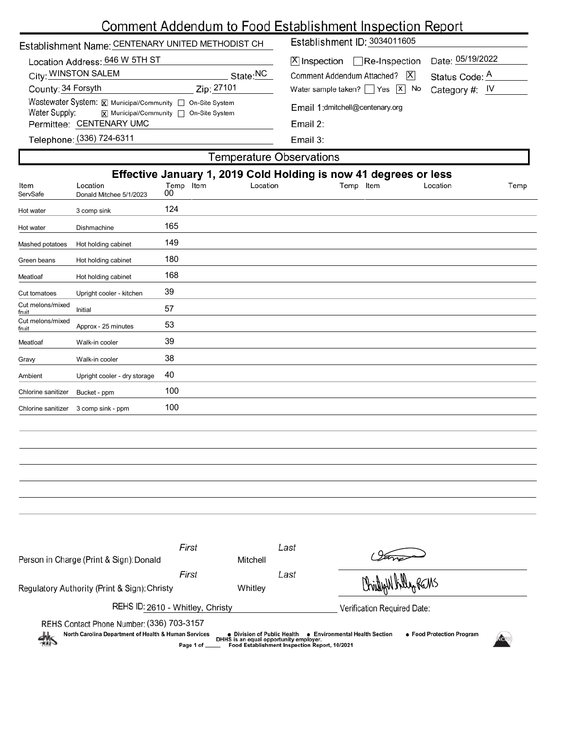|                                                                                                                          | Establishment Name: CENTENARY UNITED METHODIST CH                                                                     |                        | Establishment ID: 3034011605                                                                                                                                 |                                                        |  |  |  |
|--------------------------------------------------------------------------------------------------------------------------|-----------------------------------------------------------------------------------------------------------------------|------------------------|--------------------------------------------------------------------------------------------------------------------------------------------------------------|--------------------------------------------------------|--|--|--|
| Location Address: 646 W 5TH ST<br>City: WINSTON SALEM<br>County: 34 Forsyth<br>Water Supply:<br>Permittee: CENTENARY UMC | Wastewater System: X Municipal/Community   On-Site System<br>$\overline{x}$ Municipal/Community $\Box$ On-Site System | State:NC<br>Zip: 27101 | $X$ Inspection Re-Inspection<br>Comment Addendum Attached?   X <br>Water sample taken? $\Box$ Yes $\Box$ No<br>Email 1:dmitchell@centenary.org<br>Email $2:$ | Date: 05/19/2022<br>Status Code: A<br>Category #: $IV$ |  |  |  |
| Telephone: (336) 724-6311                                                                                                |                                                                                                                       |                        | Email $3:$                                                                                                                                                   |                                                        |  |  |  |
| Temperature Observations                                                                                                 |                                                                                                                       |                        |                                                                                                                                                              |                                                        |  |  |  |
| Effective January 1, 2019 Cold Holding is now 41 degrees or less                                                         |                                                                                                                       |                        |                                                                                                                                                              |                                                        |  |  |  |
| Item<br>Location<br>ServSafe                                                                                             | Temp Item<br>00<br>Donald Mitchee 5/1/2023                                                                            | Location               | Temp Item                                                                                                                                                    | Location<br>Temp                                       |  |  |  |

| Hot water                 | 3 comp sink                  | 124 |
|---------------------------|------------------------------|-----|
| Hot water                 | Dishmachine                  | 165 |
| Mashed potatoes           | Hot holding cabinet          | 149 |
| Green beans               | Hot holding cabinet          | 180 |
| Meatloaf                  | Hot holding cabinet          | 168 |
| Cut tomatoes              | Upright cooler - kitchen     | 39  |
| Cut melons/mixed<br>fruit | Initial                      | 57  |
| Cut melons/mixed<br>fruit | Approx - 25 minutes          | 53  |
| Meatloaf                  | Walk-in cooler               | 39  |
| Gravy                     | Walk-in cooler               | 38  |
| Ambient                   | Upright cooler - dry storage | 40  |
| Chlorine sanitizer        | Bucket - ppm                 | 100 |
| Chlorine sanitizer        | 3 comp sink - ppm            | 100 |

| Person in Charge (Print & Sign): Donald                                                                                                                                                                                                                                                                                            | First | Mitchell | Last |                             |  |  |  |
|------------------------------------------------------------------------------------------------------------------------------------------------------------------------------------------------------------------------------------------------------------------------------------------------------------------------------------|-------|----------|------|-----------------------------|--|--|--|
|                                                                                                                                                                                                                                                                                                                                    | First |          | Last | Christian hilly REMS        |  |  |  |
| Regulatory Authority (Print & Sign): Christy                                                                                                                                                                                                                                                                                       |       | Whitley  |      |                             |  |  |  |
| REHS ID: 2610 - Whitley, Christy                                                                                                                                                                                                                                                                                                   |       |          |      | Verification Required Date: |  |  |  |
| REHS Contact Phone Number: (336) 703-3157<br>North Carolina Department of Health & Human Services<br>• Food Protection Program<br><b>Environmental Health Section</b><br>• Division of Public Health<br>$\frac{dh}{dh}$<br>DHHS is an equal opportunity employer.<br>Food Establishment Inspection Report, 10/2021<br>Page 1 of __ |       |          |      |                             |  |  |  |